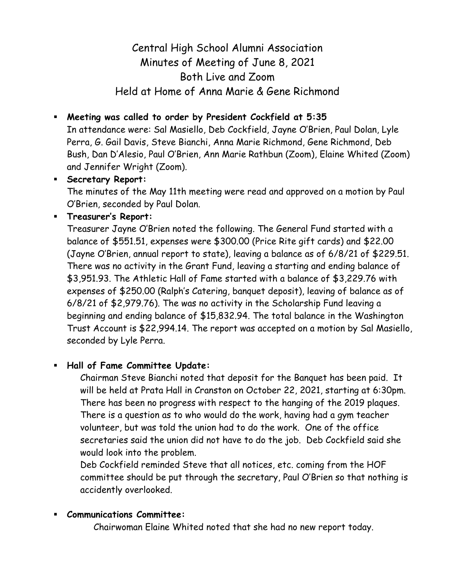Central High School Alumni Association Minutes of Meeting of June 8, 2021 Both Live and Zoom Held at Home of Anna Marie & Gene Richmond

## **Meeting was called to order by President Cockfield at 5:35**

In attendance were: Sal Masiello, Deb Cockfield, Jayne O'Brien, Paul Dolan, Lyle Perra, G. Gail Davis, Steve Bianchi, Anna Marie Richmond, Gene Richmond, Deb Bush, Dan D'Alesio, Paul O'Brien, Ann Marie Rathbun (Zoom), Elaine Whited (Zoom) and Jennifer Wright (Zoom).

## **Secretary Report:**

The minutes of the May 11th meeting were read and approved on a motion by Paul O'Brien, seconded by Paul Dolan.

#### **Treasurer's Report:**

Treasurer Jayne O'Brien noted the following. The General Fund started with a balance of \$551.51, expenses were \$300.00 (Price Rite gift cards) and \$22.00 (Jayne O'Brien, annual report to state), leaving a balance as of 6/8/21 of \$229.51. There was no activity in the Grant Fund, leaving a starting and ending balance of \$3,951.93. The Athletic Hall of Fame started with a balance of \$3,229.76 with expenses of \$250.00 (Ralph's Catering, banquet deposit), leaving of balance as of 6/8/21 of \$2,979.76). The was no activity in the Scholarship Fund leaving a beginning and ending balance of \$15,832.94. The total balance in the Washington Trust Account is \$22,994.14. The report was accepted on a motion by Sal Masiello, seconded by Lyle Perra.

#### **Hall of Fame Committee Update:**

Chairman Steve Bianchi noted that deposit for the Banquet has been paid. It will be held at Prata Hall in Cranston on October 22, 2021, starting at 6:30pm. There has been no progress with respect to the hanging of the 2019 plaques. There is a question as to who would do the work, having had a gym teacher volunteer, but was told the union had to do the work. One of the office secretaries said the union did not have to do the job. Deb Cockfield said she would look into the problem.

Deb Cockfield reminded Steve that all notices, etc. coming from the HOF committee should be put through the secretary, Paul O'Brien so that nothing is accidently overlooked.

#### **Communications Committee:**

Chairwoman Elaine Whited noted that she had no new report today.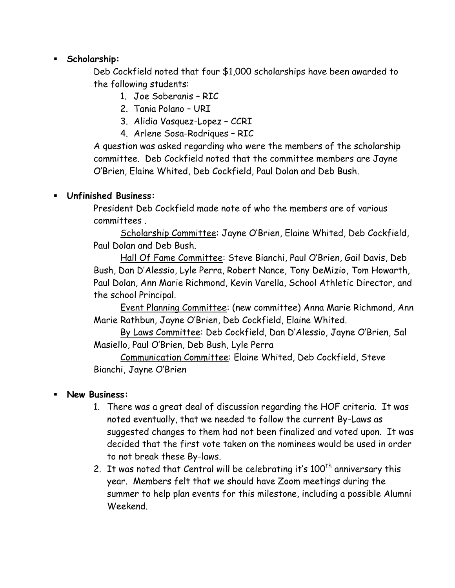### **Scholarship:**

Deb Cockfield noted that four \$1,000 scholarships have been awarded to the following students:

- 1. Joe Soberanis RIC
- 2. Tania Polano URI
- 3. Alidia Vasquez-Lopez CCRI
- 4. Arlene Sosa-Rodriques RIC

A question was asked regarding who were the members of the scholarship committee. Deb Cockfield noted that the committee members are Jayne O'Brien, Elaine Whited, Deb Cockfield, Paul Dolan and Deb Bush.

# **Unfinished Business:**

President Deb Cockfield made note of who the members are of various committees .

Scholarship Committee: Jayne O'Brien, Elaine Whited, Deb Cockfield, Paul Dolan and Deb Bush.

Hall Of Fame Committee: Steve Bianchi, Paul O'Brien, Gail Davis, Deb Bush, Dan D'Alessio, Lyle Perra, Robert Nance, Tony DeMizio, Tom Howarth, Paul Dolan, Ann Marie Richmond, Kevin Varella, School Athletic Director, and the school Principal.

Event Planning Committee: (new committee) Anna Marie Richmond, Ann Marie Rathbun, Jayne O'Brien, Deb Cockfield, Elaine Whited.

By Laws Committee: Deb Cockfield, Dan D'Alessio, Jayne O'Brien, Sal Masiello, Paul O'Brien, Deb Bush, Lyle Perra

Communication Committee: Elaine Whited, Deb Cockfield, Steve Bianchi, Jayne O'Brien

#### **New Business:**

- 1. There was a great deal of discussion regarding the HOF criteria. It was noted eventually, that we needed to follow the current By-Laws as suggested changes to them had not been finalized and voted upon. It was decided that the first vote taken on the nominees would be used in order to not break these By-laws.
- 2. It was noted that Central will be celebrating it's  $100<sup>th</sup>$  anniversary this year. Members felt that we should have Zoom meetings during the summer to help plan events for this milestone, including a possible Alumni Weekend.